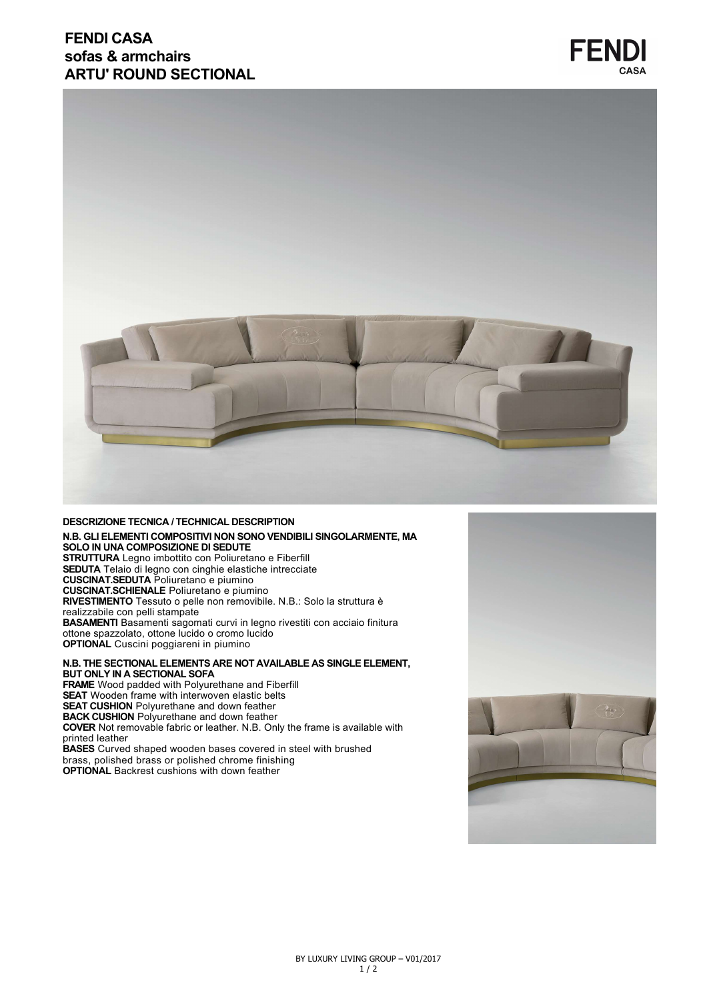## **FENDI CASA sofas & armchairs ARTU' ROUND SECTIONAL**



#### **DESCRIZIONE TECNICA / TECHNICAL DESCRIPTION N.B. GLI ELEMENTI COMPOSITIVI NON SONO VENDIBILI SINGOLARMENTE, MA SOLO IN UNA COMPOSIZIONE DI SEDUTE STRUTTURA** Legno imbottito con Poliuretano e Fiberfill **SEDUTA** Telaio di legno con cinghie elastiche intrecciate **CUSCINAT.SEDUTA** Poliuretano e piumino **CUSCINAT.SCHIENALE** Poliuretano e piumino **RIVESTIMENTO** Tessuto o pelle non removibile. N.B.: Solo la struttura è realizzabile con pelli stampate **BASAMENTI** Basamenti sagomati curvi in legno rivestiti con acciaio finitura ottone spazzolato, ottone lucido o cromo lucido **OPTIONAL** Cuscini poggiareni in piumino

**N.B. THE SECTIONAL ELEMENTS ARE NOT AVAILABLE AS SINGLE ELEMENT, BUT ONLY IN A SECTIONAL SOFA**

**FRAME** Wood padded with Polyurethane and Fiberfill **SEAT** Wooden frame with interwoven elastic belts **SEAT CUSHION** Polyurethane and down feather **BACK CUSHION** Polyurethane and down feather **COVER** Not removable fabric or leather. N.B. Only the frame is available with printed leather **BASES** Curved shaped wooden bases covered in steel with brushed brass, polished brass or polished chrome finishing

**OPTIONAL** Backrest cushions with down feather



**FENDI**